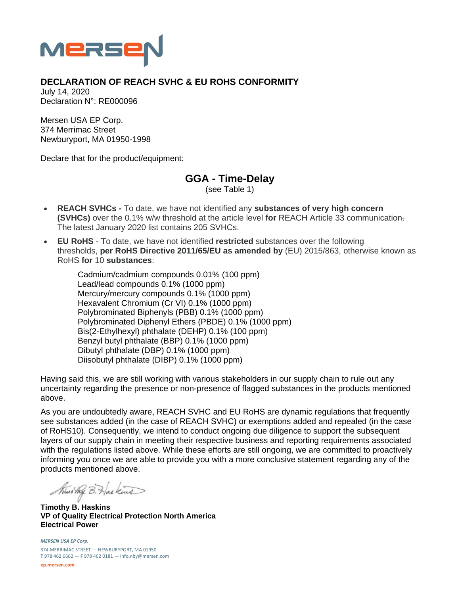

## **DECLARATION OF REACH SVHC & EU ROHS CONFORMITY**

July 14, 2020 Declaration N°: RE000096

Mersen USA EP Corp. 374 Merrimac Street Newburyport, MA 01950-1998

Declare that for the product/equipment:

**GGA - Time-Delay** 

(see Table 1)

- **REACH SVHCs** To date, we have not identified any **substances of very high concern (SVHCs)** over the 0.1% w/w threshold at the article level **for** REACH Article 33 communication. The latest January 2020 list contains 205 SVHCs.
- **EU RoHS** To date, we have not identified **restricted** substances over the following thresholds, **per RoHS Directive 2011/65/EU as amended by** (EU) 2015/863, otherwise known as RoHS **for** 10 **substances**:

Cadmium/cadmium compounds 0.01% (100 ppm) Lead/lead compounds 0.1% (1000 ppm) Mercury/mercury compounds 0.1% (1000 ppm) Hexavalent Chromium (Cr VI) 0.1% (1000 ppm) Polybrominated Biphenyls (PBB) 0.1% (1000 ppm) Polybrominated Diphenyl Ethers (PBDE) 0.1% (1000 ppm) Bis(2-Ethylhexyl) phthalate (DEHP) 0.1% (100 ppm) Benzyl butyl phthalate (BBP) 0.1% (1000 ppm) Dibutyl phthalate (DBP) 0.1% (1000 ppm) Diisobutyl phthalate (DIBP) 0.1% (1000 ppm)

Having said this, we are still working with various stakeholders in our supply chain to rule out any uncertainty regarding the presence or non-presence of flagged substances in the products mentioned above.

As you are undoubtedly aware, REACH SVHC and EU RoHS are dynamic regulations that frequently see substances added (in the case of REACH SVHC) or exemptions added and repealed (in the case of RoHS10). Consequently, we intend to conduct ongoing due diligence to support the subsequent layers of our supply chain in meeting their respective business and reporting requirements associated with the regulations listed above. While these efforts are still ongoing, we are committed to proactively informing you once we are able to provide you with a more conclusive statement regarding any of the products mentioned above.

Nuno they B. Has kind

**Timothy B. Haskins VP of Quality Electrical Protection North America Electrical Power** 

*MERSEN USA EP Corp.* 374 MERRIMAC STREET — NEWBURYPORT, MA 01950 **T** 978 462 6662 — **F** 978 462 0181 — info.nby@mersen.com

**ep.mersen.com**